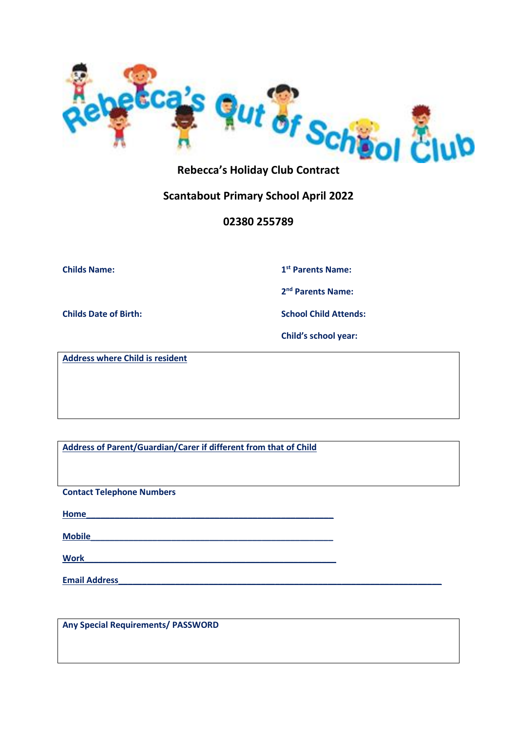

## **Rebecca's Holiday Club Contract**

## **Scantabout Primary School April 2022**

### **02380 255789**

**Childs Name: 1**

**st Parents Name:**

**2 nd Parents Name:**

**Childs Date of Birth: School Child Attends:**

**Child's school year:** 

**Address where Child is resident**

**Address of Parent/Guardian/Carer if different from that of Child**

**Contact Telephone Numbers**

**Home\_\_\_\_\_\_\_\_\_\_\_\_\_\_\_\_\_\_\_\_\_\_\_\_\_\_\_\_\_\_\_\_\_\_\_\_\_\_\_\_\_\_\_\_\_\_\_\_\_\_\_\_**

**Mobile\_\_\_\_\_\_\_\_\_\_\_\_\_\_\_\_\_\_\_\_\_\_\_\_\_\_\_\_\_\_\_\_\_\_\_\_\_\_\_\_\_\_\_\_\_\_\_\_\_\_\_**

 $Work$ 

**Email Address** 

**Any Special Requirements/ PASSWORD**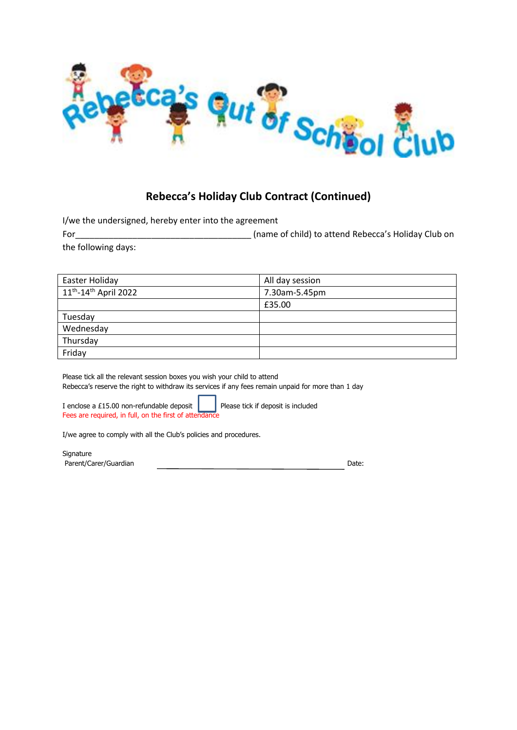

# **Rebecca's Holiday Club Contract (Continued)**

I/we the undersigned, hereby enter into the agreement

For\_\_\_\_\_\_\_\_\_\_\_\_\_\_\_\_\_\_\_\_\_\_\_\_\_\_\_\_\_\_\_\_\_\_\_\_\_ (name of child) to attend Rebecca's Holiday Club on the following days:

| Easter Holiday                         | All day session |
|----------------------------------------|-----------------|
| $11^{th}$ -14 <sup>th</sup> April 2022 | 7.30am-5.45pm   |
|                                        | £35.00          |
| Tuesday                                |                 |
| Wednesday                              |                 |
| Thursday                               |                 |
| Friday                                 |                 |

Please tick all the relevant session boxes you wish your child to attend Rebecca's reserve the right to withdraw its services if any fees remain unpaid for more than 1 day

I enclose a £15.00 non-refundable deposit  $\parallel$  Please tick if deposit is included Fees are required, in full, on the first of attendance

I/we agree to comply with all the Club's policies and procedures.

**Signature** Parent/Carer/Guardian Date: